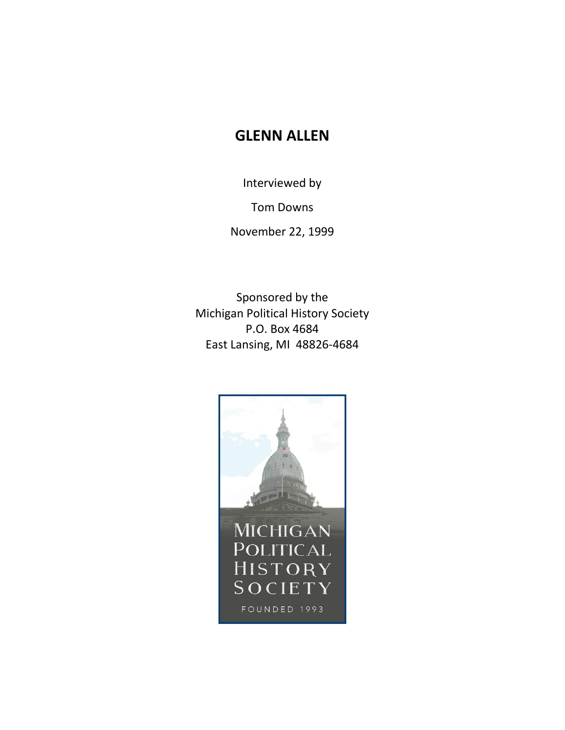## **GLENN ALLEN**

Interviewed by

Tom Downs

November 22, 1999

Sponsored by the Michigan Political History Society P.O. Box 4684 East Lansing, MI 48826-4684

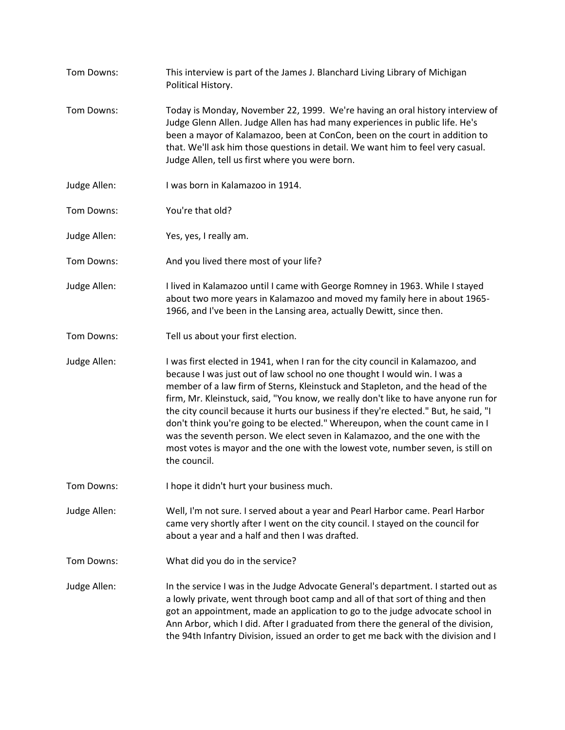Tom Downs: This interview is part of the James J. Blanchard Living Library of Michigan Political History. Tom Downs: Today is Monday, November 22, 1999. We're having an oral history interview of Judge Glenn Allen. Judge Allen has had many experiences in public life. He's been a mayor of Kalamazoo, been at ConCon, been on the court in addition to that. We'll ask him those questions in detail. We want him to feel very casual. Judge Allen, tell us first where you were born. Judge Allen: I was born in Kalamazoo in 1914. Tom Downs: You're that old? Judge Allen: Yes, yes, I really am. Tom Downs: And you lived there most of your life? Judge Allen: I lived in Kalamazoo until I came with George Romney in 1963. While I stayed about two more years in Kalamazoo and moved my family here in about 1965- 1966, and I've been in the Lansing area, actually Dewitt, since then. Tom Downs: Tell us about your first election. Judge Allen: I was first elected in 1941, when I ran for the city council in Kalamazoo, and because I was just out of law school no one thought I would win. I was a member of a law firm of Sterns, Kleinstuck and Stapleton, and the head of the firm, Mr. Kleinstuck, said, "You know, we really don't like to have anyone run for the city council because it hurts our business if they're elected." But, he said, "I don't think you're going to be elected." Whereupon, when the count came in I was the seventh person. We elect seven in Kalamazoo, and the one with the most votes is mayor and the one with the lowest vote, number seven, is still on the council. Tom Downs: I hope it didn't hurt your business much. Judge Allen: Well, I'm not sure. I served about a year and Pearl Harbor came. Pearl Harbor came very shortly after I went on the city council. I stayed on the council for about a year and a half and then I was drafted. Tom Downs: What did you do in the service? Judge Allen: In the service I was in the Judge Advocate General's department. I started out as a lowly private, went through boot camp and all of that sort of thing and then got an appointment, made an application to go to the judge advocate school in Ann Arbor, which I did. After I graduated from there the general of the division, the 94th Infantry Division, issued an order to get me back with the division and I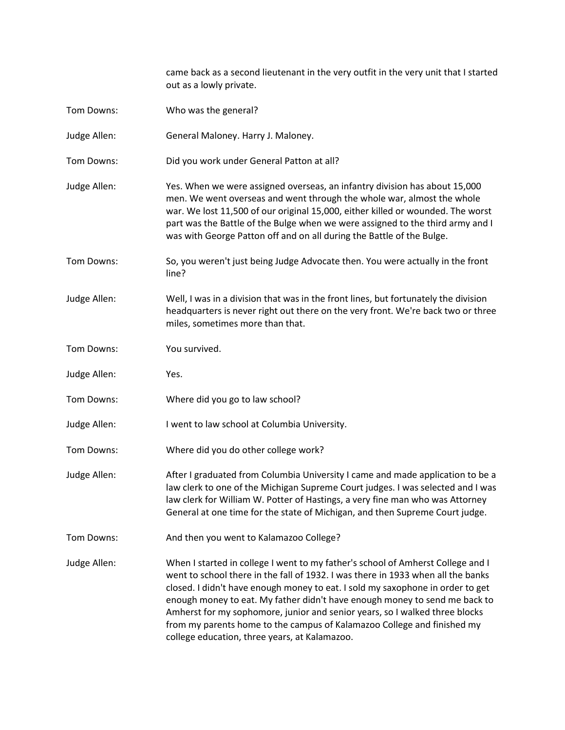came back as a second lieutenant in the very outfit in the very unit that I started out as a lowly private.

- Tom Downs: Who was the general?
- Judge Allen: General Maloney. Harry J. Maloney.
- Tom Downs: Did you work under General Patton at all?
- Judge Allen: Yes. When we were assigned overseas, an infantry division has about 15,000 men. We went overseas and went through the whole war, almost the whole war. We lost 11,500 of our original 15,000, either killed or wounded. The worst part was the Battle of the Bulge when we were assigned to the third army and I was with George Patton off and on all during the Battle of the Bulge.
- Tom Downs: So, you weren't just being Judge Advocate then. You were actually in the front line?
- Judge Allen: Well, I was in a division that was in the front lines, but fortunately the division headquarters is never right out there on the very front. We're back two or three miles, sometimes more than that.
- Tom Downs: You survived.
- Judge Allen: Yes.
- Tom Downs: Where did you go to law school?
- Judge Allen: I went to law school at Columbia University.
- Tom Downs: Where did you do other college work?
- Judge Allen: After I graduated from Columbia University I came and made application to be a law clerk to one of the Michigan Supreme Court judges. I was selected and I was law clerk for William W. Potter of Hastings, a very fine man who was Attorney General at one time for the state of Michigan, and then Supreme Court judge.
- Tom Downs: And then you went to Kalamazoo College?
- Judge Allen: When I started in college I went to my father's school of Amherst College and I went to school there in the fall of 1932. I was there in 1933 when all the banks closed. I didn't have enough money to eat. I sold my saxophone in order to get enough money to eat. My father didn't have enough money to send me back to Amherst for my sophomore, junior and senior years, so I walked three blocks from my parents home to the campus of Kalamazoo College and finished my college education, three years, at Kalamazoo.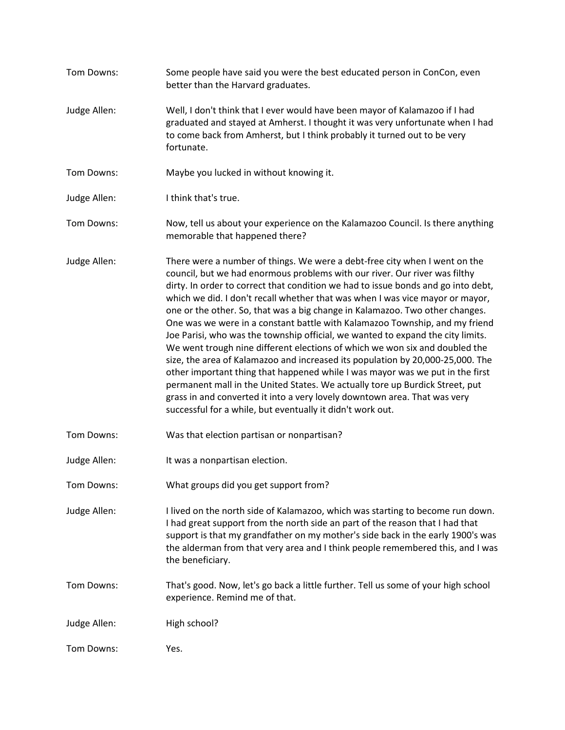Tom Downs: Some people have said you were the best educated person in ConCon, even better than the Harvard graduates. Judge Allen: Well, I don't think that I ever would have been mayor of Kalamazoo if I had graduated and stayed at Amherst. I thought it was very unfortunate when I had to come back from Amherst, but I think probably it turned out to be very fortunate. Tom Downs: Maybe you lucked in without knowing it. Judge Allen: I think that's true. Tom Downs: Now, tell us about your experience on the Kalamazoo Council. Is there anything memorable that happened there? Judge Allen: There were a number of things. We were a debt-free city when I went on the council, but we had enormous problems with our river. Our river was filthy dirty. In order to correct that condition we had to issue bonds and go into debt, which we did. I don't recall whether that was when I was vice mayor or mayor, one or the other. So, that was a big change in Kalamazoo. Two other changes. One was we were in a constant battle with Kalamazoo Township, and my friend Joe Parisi, who was the township official, we wanted to expand the city limits. We went trough nine different elections of which we won six and doubled the size, the area of Kalamazoo and increased its population by 20,000-25,000. The other important thing that happened while I was mayor was we put in the first permanent mall in the United States. We actually tore up Burdick Street, put grass in and converted it into a very lovely downtown area. That was very successful for a while, but eventually it didn't work out. Tom Downs: Was that election partisan or nonpartisan? Judge Allen: It was a nonpartisan election. Tom Downs: What groups did you get support from? Judge Allen: I lived on the north side of Kalamazoo, which was starting to become run down. I had great support from the north side an part of the reason that I had that support is that my grandfather on my mother's side back in the early 1900's was the alderman from that very area and I think people remembered this, and I was the beneficiary. Tom Downs: That's good. Now, let's go back a little further. Tell us some of your high school experience. Remind me of that. Judge Allen: High school? Tom Downs: Yes.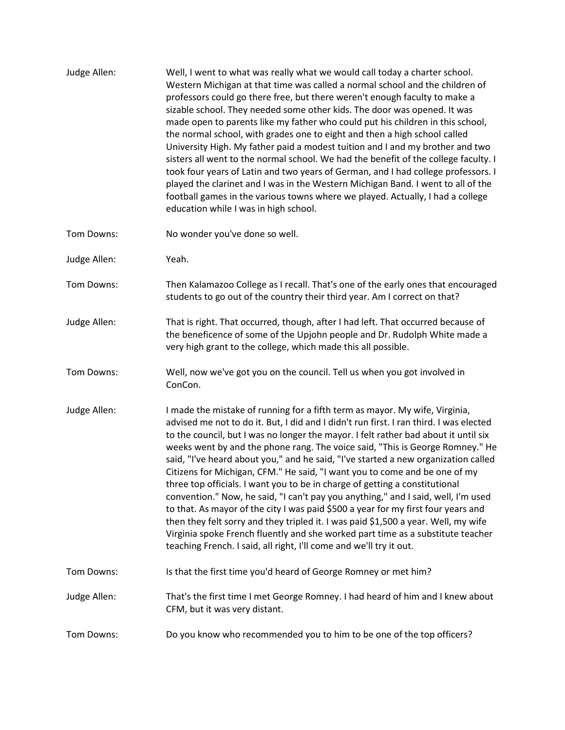| Judge Allen: | Well, I went to what was really what we would call today a charter school.<br>Western Michigan at that time was called a normal school and the children of<br>professors could go there free, but there weren't enough faculty to make a<br>sizable school. They needed some other kids. The door was opened. It was<br>made open to parents like my father who could put his children in this school,<br>the normal school, with grades one to eight and then a high school called<br>University High. My father paid a modest tuition and I and my brother and two<br>sisters all went to the normal school. We had the benefit of the college faculty. I<br>took four years of Latin and two years of German, and I had college professors. I<br>played the clarinet and I was in the Western Michigan Band. I went to all of the<br>football games in the various towns where we played. Actually, I had a college<br>education while I was in high school.                                                            |
|--------------|----------------------------------------------------------------------------------------------------------------------------------------------------------------------------------------------------------------------------------------------------------------------------------------------------------------------------------------------------------------------------------------------------------------------------------------------------------------------------------------------------------------------------------------------------------------------------------------------------------------------------------------------------------------------------------------------------------------------------------------------------------------------------------------------------------------------------------------------------------------------------------------------------------------------------------------------------------------------------------------------------------------------------|
| Tom Downs:   | No wonder you've done so well.                                                                                                                                                                                                                                                                                                                                                                                                                                                                                                                                                                                                                                                                                                                                                                                                                                                                                                                                                                                             |
| Judge Allen: | Yeah.                                                                                                                                                                                                                                                                                                                                                                                                                                                                                                                                                                                                                                                                                                                                                                                                                                                                                                                                                                                                                      |
| Tom Downs:   | Then Kalamazoo College as I recall. That's one of the early ones that encouraged<br>students to go out of the country their third year. Am I correct on that?                                                                                                                                                                                                                                                                                                                                                                                                                                                                                                                                                                                                                                                                                                                                                                                                                                                              |
| Judge Allen: | That is right. That occurred, though, after I had left. That occurred because of<br>the beneficence of some of the Upjohn people and Dr. Rudolph White made a<br>very high grant to the college, which made this all possible.                                                                                                                                                                                                                                                                                                                                                                                                                                                                                                                                                                                                                                                                                                                                                                                             |
| Tom Downs:   | Well, now we've got you on the council. Tell us when you got involved in<br>ConCon.                                                                                                                                                                                                                                                                                                                                                                                                                                                                                                                                                                                                                                                                                                                                                                                                                                                                                                                                        |
| Judge Allen: | I made the mistake of running for a fifth term as mayor. My wife, Virginia,<br>advised me not to do it. But, I did and I didn't run first. I ran third. I was elected<br>to the council, but I was no longer the mayor. I felt rather bad about it until six<br>weeks went by and the phone rang. The voice said, "This is George Romney." He<br>said, "I've heard about you," and he said, "I've started a new organization called<br>Citizens for Michigan, CFM." He said, "I want you to come and be one of my<br>three top officials. I want you to be in charge of getting a constitutional<br>convention." Now, he said, "I can't pay you anything," and I said, well, I'm used<br>to that. As mayor of the city I was paid \$500 a year for my first four years and<br>then they felt sorry and they tripled it. I was paid \$1,500 a year. Well, my wife<br>Virginia spoke French fluently and she worked part time as a substitute teacher<br>teaching French. I said, all right, I'll come and we'll try it out. |
| Tom Downs:   | Is that the first time you'd heard of George Romney or met him?                                                                                                                                                                                                                                                                                                                                                                                                                                                                                                                                                                                                                                                                                                                                                                                                                                                                                                                                                            |
| Judge Allen: | That's the first time I met George Romney. I had heard of him and I knew about<br>CFM, but it was very distant.                                                                                                                                                                                                                                                                                                                                                                                                                                                                                                                                                                                                                                                                                                                                                                                                                                                                                                            |
| Tom Downs:   | Do you know who recommended you to him to be one of the top officers?                                                                                                                                                                                                                                                                                                                                                                                                                                                                                                                                                                                                                                                                                                                                                                                                                                                                                                                                                      |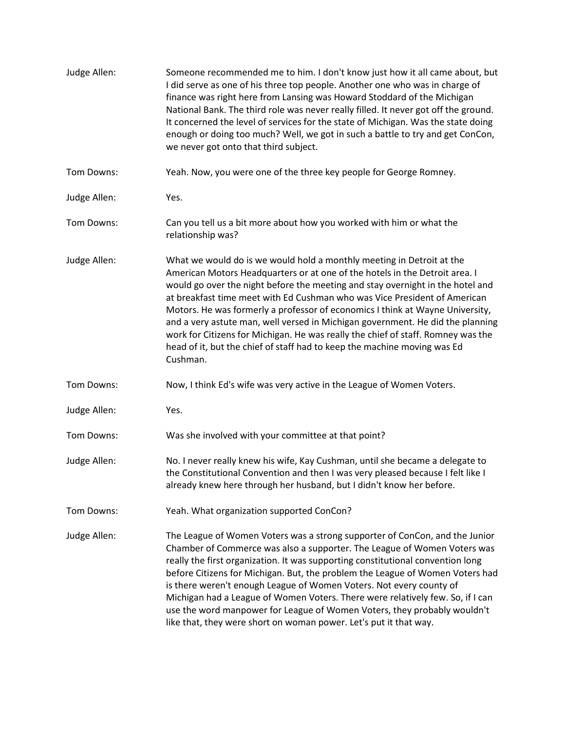| Judge Allen: | Someone recommended me to him. I don't know just how it all came about, but<br>I did serve as one of his three top people. Another one who was in charge of<br>finance was right here from Lansing was Howard Stoddard of the Michigan<br>National Bank. The third role was never really filled. It never got off the ground.<br>It concerned the level of services for the state of Michigan. Was the state doing<br>enough or doing too much? Well, we got in such a battle to try and get ConCon,<br>we never got onto that third subject.                                                                                                                      |
|--------------|--------------------------------------------------------------------------------------------------------------------------------------------------------------------------------------------------------------------------------------------------------------------------------------------------------------------------------------------------------------------------------------------------------------------------------------------------------------------------------------------------------------------------------------------------------------------------------------------------------------------------------------------------------------------|
| Tom Downs:   | Yeah. Now, you were one of the three key people for George Romney.                                                                                                                                                                                                                                                                                                                                                                                                                                                                                                                                                                                                 |
| Judge Allen: | Yes.                                                                                                                                                                                                                                                                                                                                                                                                                                                                                                                                                                                                                                                               |
| Tom Downs:   | Can you tell us a bit more about how you worked with him or what the<br>relationship was?                                                                                                                                                                                                                                                                                                                                                                                                                                                                                                                                                                          |
| Judge Allen: | What we would do is we would hold a monthly meeting in Detroit at the<br>American Motors Headquarters or at one of the hotels in the Detroit area. I<br>would go over the night before the meeting and stay overnight in the hotel and<br>at breakfast time meet with Ed Cushman who was Vice President of American<br>Motors. He was formerly a professor of economics I think at Wayne University,<br>and a very astute man, well versed in Michigan government. He did the planning<br>work for Citizens for Michigan. He was really the chief of staff. Romney was the<br>head of it, but the chief of staff had to keep the machine moving was Ed<br>Cushman. |
| Tom Downs:   | Now, I think Ed's wife was very active in the League of Women Voters.                                                                                                                                                                                                                                                                                                                                                                                                                                                                                                                                                                                              |
| Judge Allen: | Yes.                                                                                                                                                                                                                                                                                                                                                                                                                                                                                                                                                                                                                                                               |
| Tom Downs:   | Was she involved with your committee at that point?                                                                                                                                                                                                                                                                                                                                                                                                                                                                                                                                                                                                                |
| Judge Allen: | No. I never really knew his wife, Kay Cushman, until she became a delegate to<br>the Constitutional Convention and then I was very pleased because I felt like I<br>already knew here through her husband, but I didn't know her before.                                                                                                                                                                                                                                                                                                                                                                                                                           |
| Tom Downs:   | Yeah. What organization supported ConCon?                                                                                                                                                                                                                                                                                                                                                                                                                                                                                                                                                                                                                          |
| Judge Allen: | The League of Women Voters was a strong supporter of ConCon, and the Junior<br>Chamber of Commerce was also a supporter. The League of Women Voters was<br>really the first organization. It was supporting constitutional convention long<br>before Citizens for Michigan. But, the problem the League of Women Voters had<br>is there weren't enough League of Women Voters. Not every county of<br>Michigan had a League of Women Voters. There were relatively few. So, if I can<br>use the word manpower for League of Women Voters, they probably wouldn't<br>like that, they were short on woman power. Let's put it that way.                              |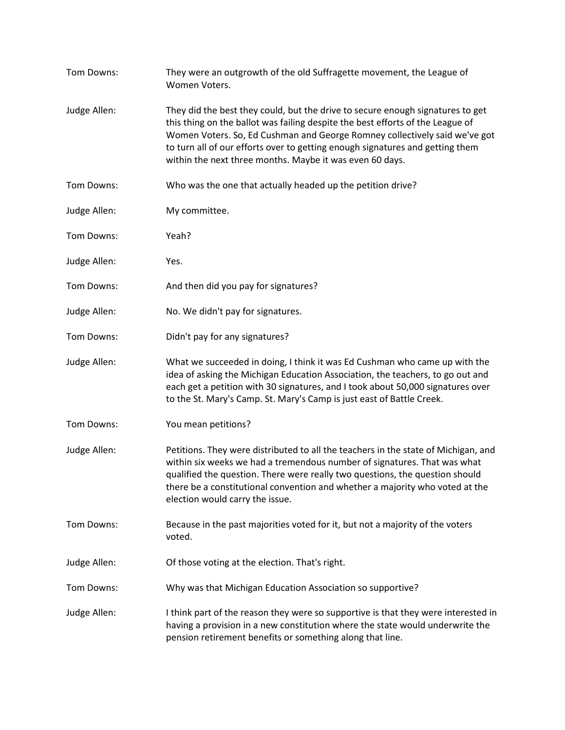| Tom Downs:   | They were an outgrowth of the old Suffragette movement, the League of<br>Women Voters.                                                                                                                                                                                                                                                                                                      |
|--------------|---------------------------------------------------------------------------------------------------------------------------------------------------------------------------------------------------------------------------------------------------------------------------------------------------------------------------------------------------------------------------------------------|
| Judge Allen: | They did the best they could, but the drive to secure enough signatures to get<br>this thing on the ballot was failing despite the best efforts of the League of<br>Women Voters. So, Ed Cushman and George Romney collectively said we've got<br>to turn all of our efforts over to getting enough signatures and getting them<br>within the next three months. Maybe it was even 60 days. |
| Tom Downs:   | Who was the one that actually headed up the petition drive?                                                                                                                                                                                                                                                                                                                                 |
| Judge Allen: | My committee.                                                                                                                                                                                                                                                                                                                                                                               |
| Tom Downs:   | Yeah?                                                                                                                                                                                                                                                                                                                                                                                       |
| Judge Allen: | Yes.                                                                                                                                                                                                                                                                                                                                                                                        |
| Tom Downs:   | And then did you pay for signatures?                                                                                                                                                                                                                                                                                                                                                        |
| Judge Allen: | No. We didn't pay for signatures.                                                                                                                                                                                                                                                                                                                                                           |
| Tom Downs:   | Didn't pay for any signatures?                                                                                                                                                                                                                                                                                                                                                              |
| Judge Allen: | What we succeeded in doing, I think it was Ed Cushman who came up with the<br>idea of asking the Michigan Education Association, the teachers, to go out and<br>each get a petition with 30 signatures, and I took about 50,000 signatures over<br>to the St. Mary's Camp. St. Mary's Camp is just east of Battle Creek.                                                                    |
| Tom Downs:   | You mean petitions?                                                                                                                                                                                                                                                                                                                                                                         |
| Judge Allen: | Petitions. They were distributed to all the teachers in the state of Michigan, and<br>within six weeks we had a tremendous number of signatures. That was what<br>qualified the question. There were really two questions, the question should<br>there be a constitutional convention and whether a majority who voted at the<br>election would carry the issue.                           |
| Tom Downs:   | Because in the past majorities voted for it, but not a majority of the voters<br>voted.                                                                                                                                                                                                                                                                                                     |
| Judge Allen: | Of those voting at the election. That's right.                                                                                                                                                                                                                                                                                                                                              |
| Tom Downs:   | Why was that Michigan Education Association so supportive?                                                                                                                                                                                                                                                                                                                                  |
| Judge Allen: | I think part of the reason they were so supportive is that they were interested in<br>having a provision in a new constitution where the state would underwrite the<br>pension retirement benefits or something along that line.                                                                                                                                                            |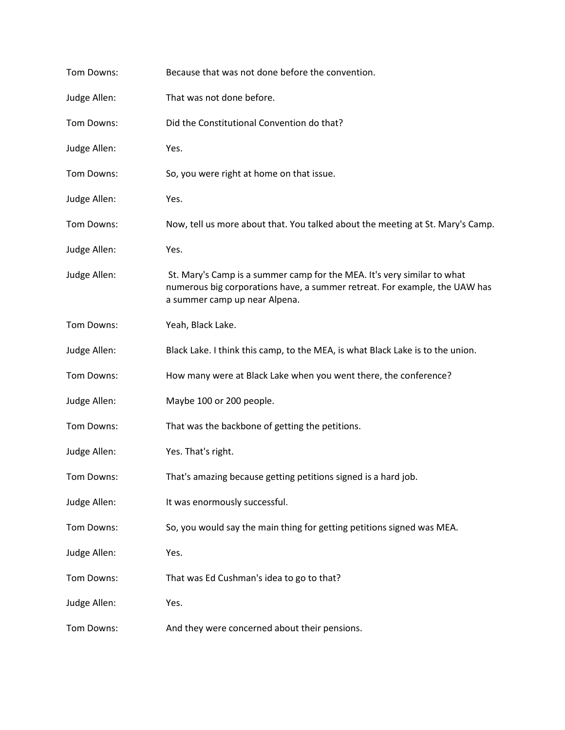| Tom Downs:   | Because that was not done before the convention.                                                                                                                                       |
|--------------|----------------------------------------------------------------------------------------------------------------------------------------------------------------------------------------|
| Judge Allen: | That was not done before.                                                                                                                                                              |
| Tom Downs:   | Did the Constitutional Convention do that?                                                                                                                                             |
| Judge Allen: | Yes.                                                                                                                                                                                   |
| Tom Downs:   | So, you were right at home on that issue.                                                                                                                                              |
| Judge Allen: | Yes.                                                                                                                                                                                   |
| Tom Downs:   | Now, tell us more about that. You talked about the meeting at St. Mary's Camp.                                                                                                         |
| Judge Allen: | Yes.                                                                                                                                                                                   |
| Judge Allen: | St. Mary's Camp is a summer camp for the MEA. It's very similar to what<br>numerous big corporations have, a summer retreat. For example, the UAW has<br>a summer camp up near Alpena. |
| Tom Downs:   | Yeah, Black Lake.                                                                                                                                                                      |
| Judge Allen: | Black Lake. I think this camp, to the MEA, is what Black Lake is to the union.                                                                                                         |
| Tom Downs:   | How many were at Black Lake when you went there, the conference?                                                                                                                       |
| Judge Allen: | Maybe 100 or 200 people.                                                                                                                                                               |
| Tom Downs:   | That was the backbone of getting the petitions.                                                                                                                                        |
| Judge Allen: | Yes. That's right.                                                                                                                                                                     |
| Tom Downs:   | That's amazing because getting petitions signed is a hard job.                                                                                                                         |
| Judge Allen: | It was enormously successful.                                                                                                                                                          |
| Tom Downs:   | So, you would say the main thing for getting petitions signed was MEA.                                                                                                                 |
| Judge Allen: | Yes.                                                                                                                                                                                   |
| Tom Downs:   | That was Ed Cushman's idea to go to that?                                                                                                                                              |
| Judge Allen: | Yes.                                                                                                                                                                                   |
| Tom Downs:   | And they were concerned about their pensions.                                                                                                                                          |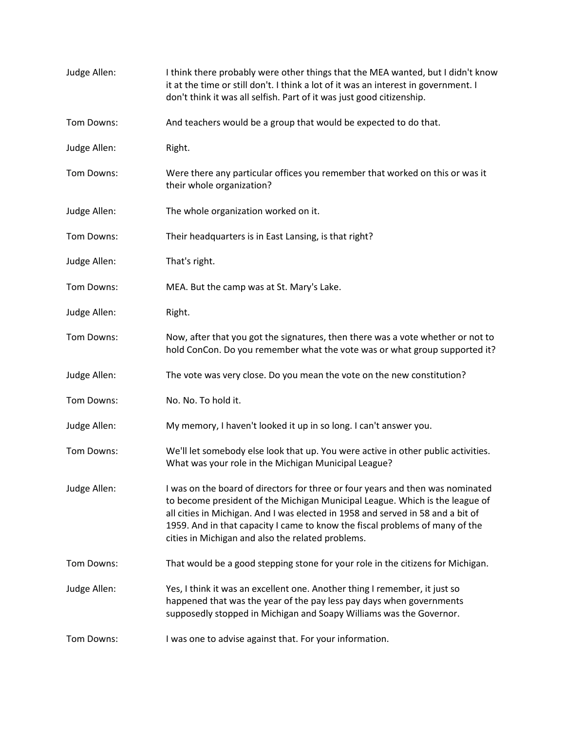| Judge Allen: | I think there probably were other things that the MEA wanted, but I didn't know<br>it at the time or still don't. I think a lot of it was an interest in government. I<br>don't think it was all selfish. Part of it was just good citizenship.                                                                                                                                        |
|--------------|----------------------------------------------------------------------------------------------------------------------------------------------------------------------------------------------------------------------------------------------------------------------------------------------------------------------------------------------------------------------------------------|
| Tom Downs:   | And teachers would be a group that would be expected to do that.                                                                                                                                                                                                                                                                                                                       |
| Judge Allen: | Right.                                                                                                                                                                                                                                                                                                                                                                                 |
| Tom Downs:   | Were there any particular offices you remember that worked on this or was it<br>their whole organization?                                                                                                                                                                                                                                                                              |
| Judge Allen: | The whole organization worked on it.                                                                                                                                                                                                                                                                                                                                                   |
| Tom Downs:   | Their headquarters is in East Lansing, is that right?                                                                                                                                                                                                                                                                                                                                  |
| Judge Allen: | That's right.                                                                                                                                                                                                                                                                                                                                                                          |
| Tom Downs:   | MEA. But the camp was at St. Mary's Lake.                                                                                                                                                                                                                                                                                                                                              |
| Judge Allen: | Right.                                                                                                                                                                                                                                                                                                                                                                                 |
| Tom Downs:   | Now, after that you got the signatures, then there was a vote whether or not to<br>hold ConCon. Do you remember what the vote was or what group supported it?                                                                                                                                                                                                                          |
| Judge Allen: | The vote was very close. Do you mean the vote on the new constitution?                                                                                                                                                                                                                                                                                                                 |
| Tom Downs:   | No. No. To hold it.                                                                                                                                                                                                                                                                                                                                                                    |
| Judge Allen: | My memory, I haven't looked it up in so long. I can't answer you.                                                                                                                                                                                                                                                                                                                      |
| Tom Downs:   | We'll let somebody else look that up. You were active in other public activities.<br>What was your role in the Michigan Municipal League?                                                                                                                                                                                                                                              |
| Judge Allen: | I was on the board of directors for three or four years and then was nominated<br>to become president of the Michigan Municipal League. Which is the league of<br>all cities in Michigan. And I was elected in 1958 and served in 58 and a bit of<br>1959. And in that capacity I came to know the fiscal problems of many of the<br>cities in Michigan and also the related problems. |
| Tom Downs:   | That would be a good stepping stone for your role in the citizens for Michigan.                                                                                                                                                                                                                                                                                                        |
| Judge Allen: | Yes, I think it was an excellent one. Another thing I remember, it just so<br>happened that was the year of the pay less pay days when governments<br>supposedly stopped in Michigan and Soapy Williams was the Governor.                                                                                                                                                              |
| Tom Downs:   | I was one to advise against that. For your information.                                                                                                                                                                                                                                                                                                                                |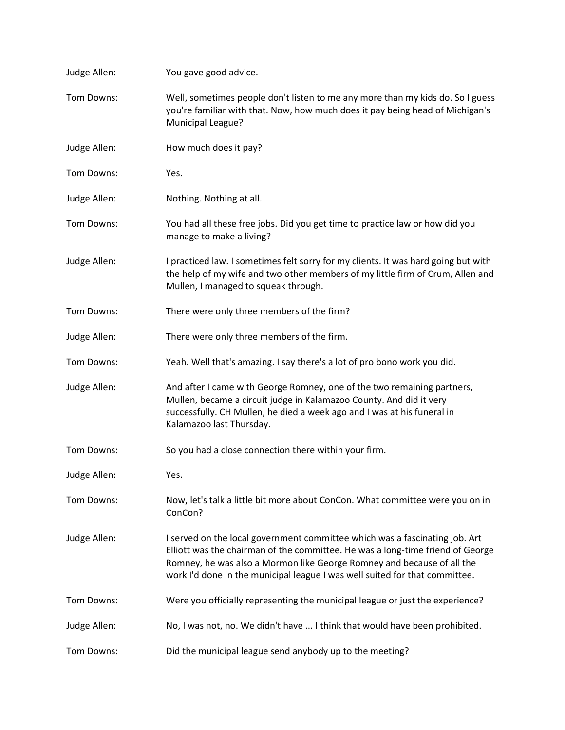| Judge Allen: | You gave good advice.                                                                                                                                                                                                                                                                                                  |
|--------------|------------------------------------------------------------------------------------------------------------------------------------------------------------------------------------------------------------------------------------------------------------------------------------------------------------------------|
| Tom Downs:   | Well, sometimes people don't listen to me any more than my kids do. So I guess<br>you're familiar with that. Now, how much does it pay being head of Michigan's<br>Municipal League?                                                                                                                                   |
| Judge Allen: | How much does it pay?                                                                                                                                                                                                                                                                                                  |
| Tom Downs:   | Yes.                                                                                                                                                                                                                                                                                                                   |
| Judge Allen: | Nothing. Nothing at all.                                                                                                                                                                                                                                                                                               |
| Tom Downs:   | You had all these free jobs. Did you get time to practice law or how did you<br>manage to make a living?                                                                                                                                                                                                               |
| Judge Allen: | I practiced law. I sometimes felt sorry for my clients. It was hard going but with<br>the help of my wife and two other members of my little firm of Crum, Allen and<br>Mullen, I managed to squeak through.                                                                                                           |
| Tom Downs:   | There were only three members of the firm?                                                                                                                                                                                                                                                                             |
| Judge Allen: | There were only three members of the firm.                                                                                                                                                                                                                                                                             |
| Tom Downs:   | Yeah. Well that's amazing. I say there's a lot of pro bono work you did.                                                                                                                                                                                                                                               |
| Judge Allen: | And after I came with George Romney, one of the two remaining partners,<br>Mullen, became a circuit judge in Kalamazoo County. And did it very<br>successfully. CH Mullen, he died a week ago and I was at his funeral in<br>Kalamazoo last Thursday.                                                                  |
| Tom Downs:   | So you had a close connection there within your firm.                                                                                                                                                                                                                                                                  |
| Judge Allen: | Yes.                                                                                                                                                                                                                                                                                                                   |
| Tom Downs:   | Now, let's talk a little bit more about ConCon. What committee were you on in<br>ConCon?                                                                                                                                                                                                                               |
| Judge Allen: | I served on the local government committee which was a fascinating job. Art<br>Elliott was the chairman of the committee. He was a long-time friend of George<br>Romney, he was also a Mormon like George Romney and because of all the<br>work I'd done in the municipal league I was well suited for that committee. |
| Tom Downs:   | Were you officially representing the municipal league or just the experience?                                                                                                                                                                                                                                          |
| Judge Allen: | No, I was not, no. We didn't have  I think that would have been prohibited.                                                                                                                                                                                                                                            |
| Tom Downs:   | Did the municipal league send anybody up to the meeting?                                                                                                                                                                                                                                                               |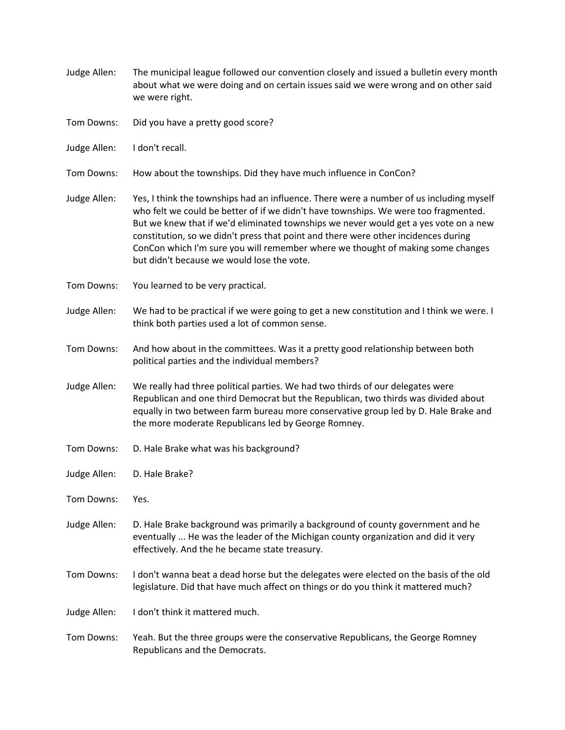- Judge Allen: The municipal league followed our convention closely and issued a bulletin every month about what we were doing and on certain issues said we were wrong and on other said we were right.
- Tom Downs: Did you have a pretty good score?
- Judge Allen: I don't recall.
- Tom Downs: How about the townships. Did they have much influence in ConCon?
- Judge Allen: Yes, I think the townships had an influence. There were a number of us including myself who felt we could be better of if we didn't have townships. We were too fragmented. But we knew that if we'd eliminated townships we never would get a yes vote on a new constitution, so we didn't press that point and there were other incidences during ConCon which I'm sure you will remember where we thought of making some changes but didn't because we would lose the vote.
- Tom Downs: You learned to be very practical.
- Judge Allen: We had to be practical if we were going to get a new constitution and I think we were. I think both parties used a lot of common sense.
- Tom Downs: And how about in the committees. Was it a pretty good relationship between both political parties and the individual members?
- Judge Allen: We really had three political parties. We had two thirds of our delegates were Republican and one third Democrat but the Republican, two thirds was divided about equally in two between farm bureau more conservative group led by D. Hale Brake and the more moderate Republicans led by George Romney.
- Tom Downs: D. Hale Brake what was his background?
- Judge Allen: D. Hale Brake?
- Tom Downs: Yes.
- Judge Allen: D. Hale Brake background was primarily a background of county government and he eventually ... He was the leader of the Michigan county organization and did it very effectively. And the he became state treasury.
- Tom Downs: I don't wanna beat a dead horse but the delegates were elected on the basis of the old legislature. Did that have much affect on things or do you think it mattered much?

Judge Allen: I don't think it mattered much.

Tom Downs: Yeah. But the three groups were the conservative Republicans, the George Romney Republicans and the Democrats.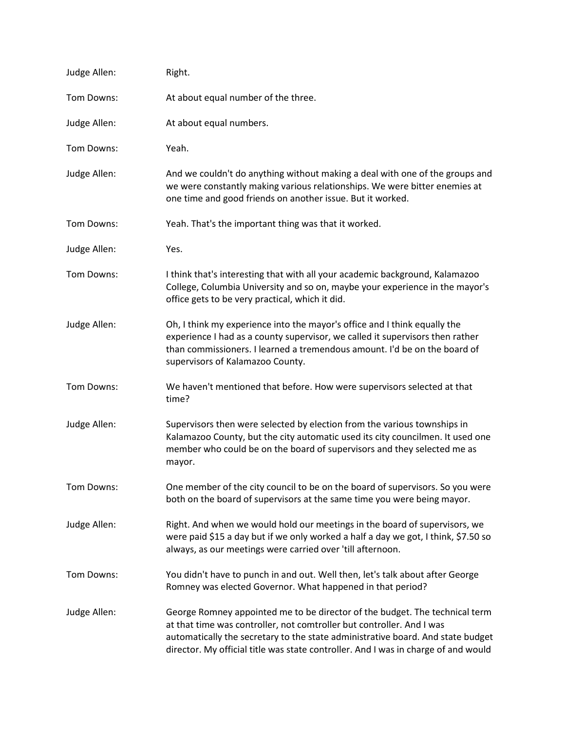| Judge Allen: | Right.                                                                                                                                                                                                                                                                                                                        |
|--------------|-------------------------------------------------------------------------------------------------------------------------------------------------------------------------------------------------------------------------------------------------------------------------------------------------------------------------------|
| Tom Downs:   | At about equal number of the three.                                                                                                                                                                                                                                                                                           |
| Judge Allen: | At about equal numbers.                                                                                                                                                                                                                                                                                                       |
| Tom Downs:   | Yeah.                                                                                                                                                                                                                                                                                                                         |
| Judge Allen: | And we couldn't do anything without making a deal with one of the groups and<br>we were constantly making various relationships. We were bitter enemies at<br>one time and good friends on another issue. But it worked.                                                                                                      |
| Tom Downs:   | Yeah. That's the important thing was that it worked.                                                                                                                                                                                                                                                                          |
| Judge Allen: | Yes.                                                                                                                                                                                                                                                                                                                          |
| Tom Downs:   | I think that's interesting that with all your academic background, Kalamazoo<br>College, Columbia University and so on, maybe your experience in the mayor's<br>office gets to be very practical, which it did.                                                                                                               |
| Judge Allen: | Oh, I think my experience into the mayor's office and I think equally the<br>experience I had as a county supervisor, we called it supervisors then rather<br>than commissioners. I learned a tremendous amount. I'd be on the board of<br>supervisors of Kalamazoo County.                                                   |
| Tom Downs:   | We haven't mentioned that before. How were supervisors selected at that<br>time?                                                                                                                                                                                                                                              |
| Judge Allen: | Supervisors then were selected by election from the various townships in<br>Kalamazoo County, but the city automatic used its city councilmen. It used one<br>member who could be on the board of supervisors and they selected me as<br>mayor.                                                                               |
| Tom Downs:   | One member of the city council to be on the board of supervisors. So you were<br>both on the board of supervisors at the same time you were being mayor.                                                                                                                                                                      |
| Judge Allen: | Right. And when we would hold our meetings in the board of supervisors, we<br>were paid \$15 a day but if we only worked a half a day we got, I think, \$7.50 so<br>always, as our meetings were carried over 'till afternoon.                                                                                                |
| Tom Downs:   | You didn't have to punch in and out. Well then, let's talk about after George<br>Romney was elected Governor. What happened in that period?                                                                                                                                                                                   |
| Judge Allen: | George Romney appointed me to be director of the budget. The technical term<br>at that time was controller, not comtroller but controller. And I was<br>automatically the secretary to the state administrative board. And state budget<br>director. My official title was state controller. And I was in charge of and would |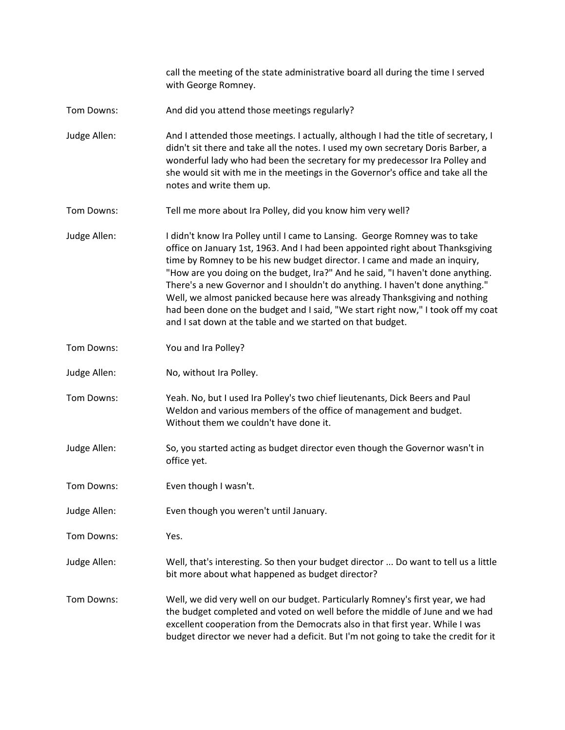call the meeting of the state administrative board all during the time I served with George Romney.

- Tom Downs: And did you attend those meetings regularly?
- Judge Allen: And I attended those meetings. I actually, although I had the title of secretary, I didn't sit there and take all the notes. I used my own secretary Doris Barber, a wonderful lady who had been the secretary for my predecessor Ira Polley and she would sit with me in the meetings in the Governor's office and take all the notes and write them up.
- Tom Downs: Tell me more about Ira Polley, did you know him very well?
- Judge Allen: I didn't know Ira Polley until I came to Lansing. George Romney was to take office on January 1st, 1963. And I had been appointed right about Thanksgiving time by Romney to be his new budget director. I came and made an inquiry, "How are you doing on the budget, Ira?" And he said, "I haven't done anything. There's a new Governor and I shouldn't do anything. I haven't done anything." Well, we almost panicked because here was already Thanksgiving and nothing had been done on the budget and I said, "We start right now," I took off my coat and I sat down at the table and we started on that budget.
- Tom Downs: You and Ira Polley?
- Judge Allen: No, without Ira Polley.
- Tom Downs: Yeah. No, but I used Ira Polley's two chief lieutenants, Dick Beers and Paul Weldon and various members of the office of management and budget. Without them we couldn't have done it.
- Judge Allen: So, you started acting as budget director even though the Governor wasn't in office yet.
- Tom Downs: Even though I wasn't.
- Judge Allen: Even though you weren't until January.
- Tom Downs: Yes.
- Judge Allen: Well, that's interesting. So then your budget director ... Do want to tell us a little bit more about what happened as budget director?
- Tom Downs: Well, we did very well on our budget. Particularly Romney's first year, we had the budget completed and voted on well before the middle of June and we had excellent cooperation from the Democrats also in that first year. While I was budget director we never had a deficit. But I'm not going to take the credit for it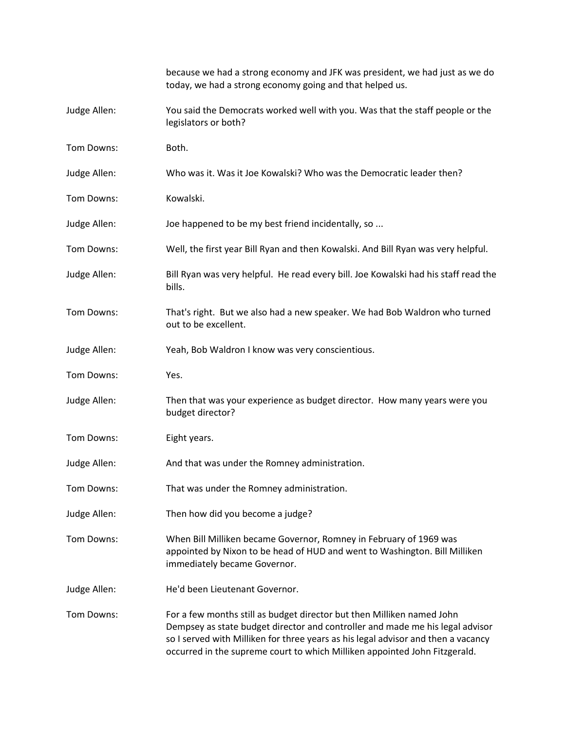|              | because we had a strong economy and JFK was president, we had just as we do<br>today, we had a strong economy going and that helped us.                                                                                                                                                                                    |
|--------------|----------------------------------------------------------------------------------------------------------------------------------------------------------------------------------------------------------------------------------------------------------------------------------------------------------------------------|
| Judge Allen: | You said the Democrats worked well with you. Was that the staff people or the<br>legislators or both?                                                                                                                                                                                                                      |
| Tom Downs:   | Both.                                                                                                                                                                                                                                                                                                                      |
| Judge Allen: | Who was it. Was it Joe Kowalski? Who was the Democratic leader then?                                                                                                                                                                                                                                                       |
| Tom Downs:   | Kowalski.                                                                                                                                                                                                                                                                                                                  |
| Judge Allen: | Joe happened to be my best friend incidentally, so                                                                                                                                                                                                                                                                         |
| Tom Downs:   | Well, the first year Bill Ryan and then Kowalski. And Bill Ryan was very helpful.                                                                                                                                                                                                                                          |
| Judge Allen: | Bill Ryan was very helpful. He read every bill. Joe Kowalski had his staff read the<br>bills.                                                                                                                                                                                                                              |
| Tom Downs:   | That's right. But we also had a new speaker. We had Bob Waldron who turned<br>out to be excellent.                                                                                                                                                                                                                         |
| Judge Allen: | Yeah, Bob Waldron I know was very conscientious.                                                                                                                                                                                                                                                                           |
| Tom Downs:   | Yes.                                                                                                                                                                                                                                                                                                                       |
| Judge Allen: | Then that was your experience as budget director. How many years were you<br>budget director?                                                                                                                                                                                                                              |
| Tom Downs:   | Eight years.                                                                                                                                                                                                                                                                                                               |
| Judge Allen: | And that was under the Romney administration.                                                                                                                                                                                                                                                                              |
| Tom Downs:   | That was under the Romney administration.                                                                                                                                                                                                                                                                                  |
| Judge Allen: | Then how did you become a judge?                                                                                                                                                                                                                                                                                           |
| Tom Downs:   | When Bill Milliken became Governor, Romney in February of 1969 was<br>appointed by Nixon to be head of HUD and went to Washington. Bill Milliken<br>immediately became Governor.                                                                                                                                           |
| Judge Allen: | He'd been Lieutenant Governor.                                                                                                                                                                                                                                                                                             |
| Tom Downs:   | For a few months still as budget director but then Milliken named John<br>Dempsey as state budget director and controller and made me his legal advisor<br>so I served with Milliken for three years as his legal advisor and then a vacancy<br>occurred in the supreme court to which Milliken appointed John Fitzgerald. |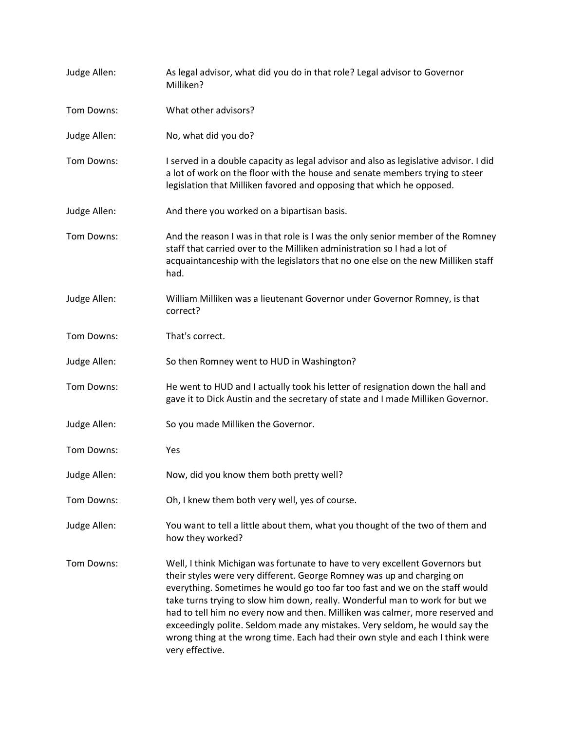| Judge Allen: | As legal advisor, what did you do in that role? Legal advisor to Governor<br>Milliken?                                                                                                                                                                                                                                                                                                                                                                                                                                                                                                     |
|--------------|--------------------------------------------------------------------------------------------------------------------------------------------------------------------------------------------------------------------------------------------------------------------------------------------------------------------------------------------------------------------------------------------------------------------------------------------------------------------------------------------------------------------------------------------------------------------------------------------|
| Tom Downs:   | What other advisors?                                                                                                                                                                                                                                                                                                                                                                                                                                                                                                                                                                       |
| Judge Allen: | No, what did you do?                                                                                                                                                                                                                                                                                                                                                                                                                                                                                                                                                                       |
| Tom Downs:   | I served in a double capacity as legal advisor and also as legislative advisor. I did<br>a lot of work on the floor with the house and senate members trying to steer<br>legislation that Milliken favored and opposing that which he opposed.                                                                                                                                                                                                                                                                                                                                             |
| Judge Allen: | And there you worked on a bipartisan basis.                                                                                                                                                                                                                                                                                                                                                                                                                                                                                                                                                |
| Tom Downs:   | And the reason I was in that role is I was the only senior member of the Romney<br>staff that carried over to the Milliken administration so I had a lot of<br>acquaintanceship with the legislators that no one else on the new Milliken staff<br>had.                                                                                                                                                                                                                                                                                                                                    |
| Judge Allen: | William Milliken was a lieutenant Governor under Governor Romney, is that<br>correct?                                                                                                                                                                                                                                                                                                                                                                                                                                                                                                      |
| Tom Downs:   | That's correct.                                                                                                                                                                                                                                                                                                                                                                                                                                                                                                                                                                            |
| Judge Allen: | So then Romney went to HUD in Washington?                                                                                                                                                                                                                                                                                                                                                                                                                                                                                                                                                  |
| Tom Downs:   | He went to HUD and I actually took his letter of resignation down the hall and<br>gave it to Dick Austin and the secretary of state and I made Milliken Governor.                                                                                                                                                                                                                                                                                                                                                                                                                          |
| Judge Allen: | So you made Milliken the Governor.                                                                                                                                                                                                                                                                                                                                                                                                                                                                                                                                                         |
| Tom Downs:   | Yes                                                                                                                                                                                                                                                                                                                                                                                                                                                                                                                                                                                        |
| Judge Allen: | Now, did you know them both pretty well?                                                                                                                                                                                                                                                                                                                                                                                                                                                                                                                                                   |
| Tom Downs:   | Oh, I knew them both very well, yes of course.                                                                                                                                                                                                                                                                                                                                                                                                                                                                                                                                             |
| Judge Allen: | You want to tell a little about them, what you thought of the two of them and<br>how they worked?                                                                                                                                                                                                                                                                                                                                                                                                                                                                                          |
| Tom Downs:   | Well, I think Michigan was fortunate to have to very excellent Governors but<br>their styles were very different. George Romney was up and charging on<br>everything. Sometimes he would go too far too fast and we on the staff would<br>take turns trying to slow him down, really. Wonderful man to work for but we<br>had to tell him no every now and then. Milliken was calmer, more reserved and<br>exceedingly polite. Seldom made any mistakes. Very seldom, he would say the<br>wrong thing at the wrong time. Each had their own style and each I think were<br>very effective. |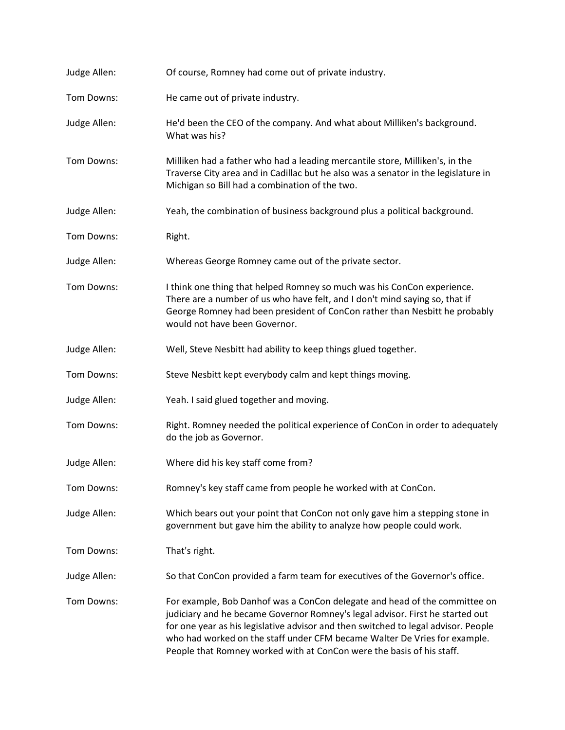| Judge Allen: | Of course, Romney had come out of private industry.                                                                                                                                                                                                                                                                                                                                                     |
|--------------|---------------------------------------------------------------------------------------------------------------------------------------------------------------------------------------------------------------------------------------------------------------------------------------------------------------------------------------------------------------------------------------------------------|
| Tom Downs:   | He came out of private industry.                                                                                                                                                                                                                                                                                                                                                                        |
| Judge Allen: | He'd been the CEO of the company. And what about Milliken's background.<br>What was his?                                                                                                                                                                                                                                                                                                                |
| Tom Downs:   | Milliken had a father who had a leading mercantile store, Milliken's, in the<br>Traverse City area and in Cadillac but he also was a senator in the legislature in<br>Michigan so Bill had a combination of the two.                                                                                                                                                                                    |
| Judge Allen: | Yeah, the combination of business background plus a political background.                                                                                                                                                                                                                                                                                                                               |
| Tom Downs:   | Right.                                                                                                                                                                                                                                                                                                                                                                                                  |
| Judge Allen: | Whereas George Romney came out of the private sector.                                                                                                                                                                                                                                                                                                                                                   |
| Tom Downs:   | I think one thing that helped Romney so much was his ConCon experience.<br>There are a number of us who have felt, and I don't mind saying so, that if<br>George Romney had been president of ConCon rather than Nesbitt he probably<br>would not have been Governor.                                                                                                                                   |
| Judge Allen: | Well, Steve Nesbitt had ability to keep things glued together.                                                                                                                                                                                                                                                                                                                                          |
| Tom Downs:   | Steve Nesbitt kept everybody calm and kept things moving.                                                                                                                                                                                                                                                                                                                                               |
| Judge Allen: | Yeah. I said glued together and moving.                                                                                                                                                                                                                                                                                                                                                                 |
| Tom Downs:   | Right. Romney needed the political experience of ConCon in order to adequately<br>do the job as Governor.                                                                                                                                                                                                                                                                                               |
| Judge Allen: | Where did his key staff come from?                                                                                                                                                                                                                                                                                                                                                                      |
| Tom Downs:   | Romney's key staff came from people he worked with at ConCon.                                                                                                                                                                                                                                                                                                                                           |
| Judge Allen: | Which bears out your point that ConCon not only gave him a stepping stone in<br>government but gave him the ability to analyze how people could work.                                                                                                                                                                                                                                                   |
| Tom Downs:   | That's right.                                                                                                                                                                                                                                                                                                                                                                                           |
| Judge Allen: | So that ConCon provided a farm team for executives of the Governor's office.                                                                                                                                                                                                                                                                                                                            |
| Tom Downs:   | For example, Bob Danhof was a ConCon delegate and head of the committee on<br>judiciary and he became Governor Romney's legal advisor. First he started out<br>for one year as his legislative advisor and then switched to legal advisor. People<br>who had worked on the staff under CFM became Walter De Vries for example.<br>People that Romney worked with at ConCon were the basis of his staff. |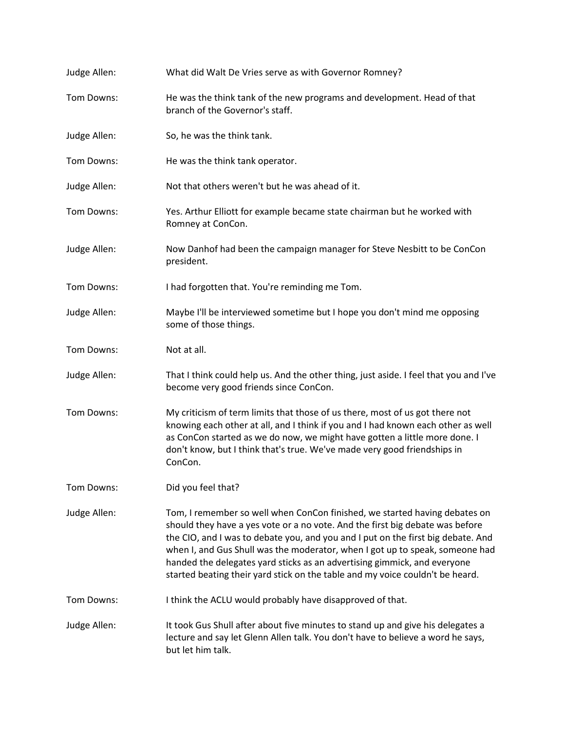| Judge Allen: | What did Walt De Vries serve as with Governor Romney?                                                                                                                                                                                                                                                                                                                                                                                                                                        |
|--------------|----------------------------------------------------------------------------------------------------------------------------------------------------------------------------------------------------------------------------------------------------------------------------------------------------------------------------------------------------------------------------------------------------------------------------------------------------------------------------------------------|
| Tom Downs:   | He was the think tank of the new programs and development. Head of that<br>branch of the Governor's staff.                                                                                                                                                                                                                                                                                                                                                                                   |
| Judge Allen: | So, he was the think tank.                                                                                                                                                                                                                                                                                                                                                                                                                                                                   |
| Tom Downs:   | He was the think tank operator.                                                                                                                                                                                                                                                                                                                                                                                                                                                              |
| Judge Allen: | Not that others weren't but he was ahead of it.                                                                                                                                                                                                                                                                                                                                                                                                                                              |
| Tom Downs:   | Yes. Arthur Elliott for example became state chairman but he worked with<br>Romney at ConCon.                                                                                                                                                                                                                                                                                                                                                                                                |
| Judge Allen: | Now Danhof had been the campaign manager for Steve Nesbitt to be ConCon<br>president.                                                                                                                                                                                                                                                                                                                                                                                                        |
| Tom Downs:   | I had forgotten that. You're reminding me Tom.                                                                                                                                                                                                                                                                                                                                                                                                                                               |
| Judge Allen: | Maybe I'll be interviewed sometime but I hope you don't mind me opposing<br>some of those things.                                                                                                                                                                                                                                                                                                                                                                                            |
| Tom Downs:   | Not at all.                                                                                                                                                                                                                                                                                                                                                                                                                                                                                  |
| Judge Allen: | That I think could help us. And the other thing, just aside. I feel that you and I've<br>become very good friends since ConCon.                                                                                                                                                                                                                                                                                                                                                              |
| Tom Downs:   | My criticism of term limits that those of us there, most of us got there not<br>knowing each other at all, and I think if you and I had known each other as well<br>as ConCon started as we do now, we might have gotten a little more done. I<br>don't know, but I think that's true. We've made very good friendships in<br>ConCon.                                                                                                                                                        |
| Tom Downs:   | Did you feel that?                                                                                                                                                                                                                                                                                                                                                                                                                                                                           |
| Judge Allen: | Tom, I remember so well when ConCon finished, we started having debates on<br>should they have a yes vote or a no vote. And the first big debate was before<br>the CIO, and I was to debate you, and you and I put on the first big debate. And<br>when I, and Gus Shull was the moderator, when I got up to speak, someone had<br>handed the delegates yard sticks as an advertising gimmick, and everyone<br>started beating their yard stick on the table and my voice couldn't be heard. |
| Tom Downs:   | I think the ACLU would probably have disapproved of that.                                                                                                                                                                                                                                                                                                                                                                                                                                    |
| Judge Allen: | It took Gus Shull after about five minutes to stand up and give his delegates a<br>lecture and say let Glenn Allen talk. You don't have to believe a word he says,<br>but let him talk.                                                                                                                                                                                                                                                                                                      |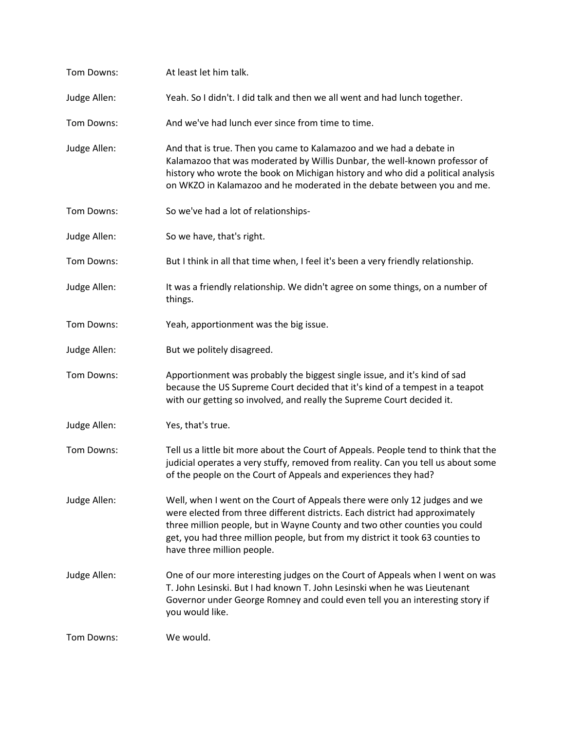| Tom Downs:   | At least let him talk.                                                                                                                                                                                                                                                                                                                                   |
|--------------|----------------------------------------------------------------------------------------------------------------------------------------------------------------------------------------------------------------------------------------------------------------------------------------------------------------------------------------------------------|
| Judge Allen: | Yeah. So I didn't. I did talk and then we all went and had lunch together.                                                                                                                                                                                                                                                                               |
| Tom Downs:   | And we've had lunch ever since from time to time.                                                                                                                                                                                                                                                                                                        |
| Judge Allen: | And that is true. Then you came to Kalamazoo and we had a debate in<br>Kalamazoo that was moderated by Willis Dunbar, the well-known professor of<br>history who wrote the book on Michigan history and who did a political analysis<br>on WKZO in Kalamazoo and he moderated in the debate between you and me.                                          |
| Tom Downs:   | So we've had a lot of relationships-                                                                                                                                                                                                                                                                                                                     |
| Judge Allen: | So we have, that's right.                                                                                                                                                                                                                                                                                                                                |
| Tom Downs:   | But I think in all that time when, I feel it's been a very friendly relationship.                                                                                                                                                                                                                                                                        |
| Judge Allen: | It was a friendly relationship. We didn't agree on some things, on a number of<br>things.                                                                                                                                                                                                                                                                |
| Tom Downs:   | Yeah, apportionment was the big issue.                                                                                                                                                                                                                                                                                                                   |
| Judge Allen: | But we politely disagreed.                                                                                                                                                                                                                                                                                                                               |
| Tom Downs:   | Apportionment was probably the biggest single issue, and it's kind of sad<br>because the US Supreme Court decided that it's kind of a tempest in a teapot<br>with our getting so involved, and really the Supreme Court decided it.                                                                                                                      |
| Judge Allen: | Yes, that's true.                                                                                                                                                                                                                                                                                                                                        |
| Tom Downs:   | Tell us a little bit more about the Court of Appeals. People tend to think that the<br>judicial operates a very stuffy, removed from reality. Can you tell us about some<br>of the people on the Court of Appeals and experiences they had?                                                                                                              |
| Judge Allen: | Well, when I went on the Court of Appeals there were only 12 judges and we<br>were elected from three different districts. Each district had approximately<br>three million people, but in Wayne County and two other counties you could<br>get, you had three million people, but from my district it took 63 counties to<br>have three million people. |
| Judge Allen: | One of our more interesting judges on the Court of Appeals when I went on was<br>T. John Lesinski. But I had known T. John Lesinski when he was Lieutenant<br>Governor under George Romney and could even tell you an interesting story if<br>you would like.                                                                                            |
| Tom Downs:   | We would.                                                                                                                                                                                                                                                                                                                                                |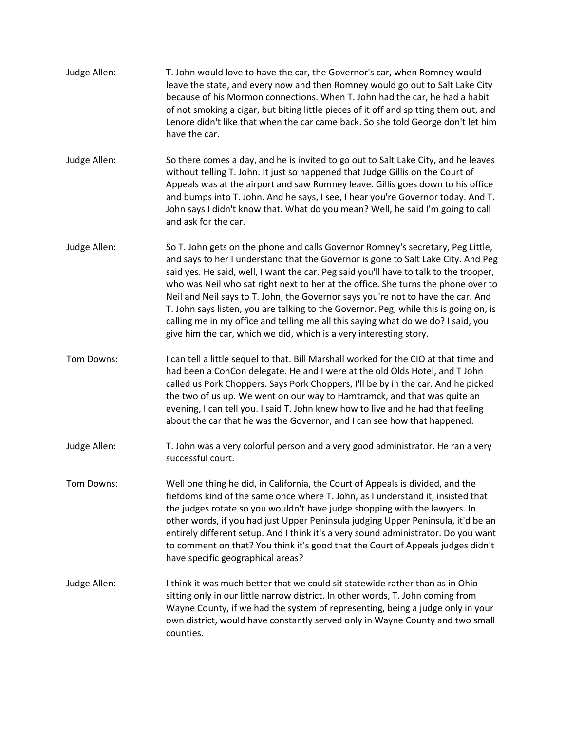| Judge Allen: | T. John would love to have the car, the Governor's car, when Romney would<br>leave the state, and every now and then Romney would go out to Salt Lake City<br>because of his Mormon connections. When T. John had the car, he had a habit<br>of not smoking a cigar, but biting little pieces of it off and spitting them out, and<br>Lenore didn't like that when the car came back. So she told George don't let him<br>have the car.                                                                                                                                                                                                                                                    |
|--------------|--------------------------------------------------------------------------------------------------------------------------------------------------------------------------------------------------------------------------------------------------------------------------------------------------------------------------------------------------------------------------------------------------------------------------------------------------------------------------------------------------------------------------------------------------------------------------------------------------------------------------------------------------------------------------------------------|
| Judge Allen: | So there comes a day, and he is invited to go out to Salt Lake City, and he leaves<br>without telling T. John. It just so happened that Judge Gillis on the Court of<br>Appeals was at the airport and saw Romney leave. Gillis goes down to his office<br>and bumps into T. John. And he says, I see, I hear you're Governor today. And T.<br>John says I didn't know that. What do you mean? Well, he said I'm going to call<br>and ask for the car.                                                                                                                                                                                                                                     |
| Judge Allen: | So T. John gets on the phone and calls Governor Romney's secretary, Peg Little,<br>and says to her I understand that the Governor is gone to Salt Lake City. And Peg<br>said yes. He said, well, I want the car. Peg said you'll have to talk to the trooper,<br>who was Neil who sat right next to her at the office. She turns the phone over to<br>Neil and Neil says to T. John, the Governor says you're not to have the car. And<br>T. John says listen, you are talking to the Governor. Peg, while this is going on, is<br>calling me in my office and telling me all this saying what do we do? I said, you<br>give him the car, which we did, which is a very interesting story. |
| Tom Downs:   | I can tell a little sequel to that. Bill Marshall worked for the CIO at that time and<br>had been a ConCon delegate. He and I were at the old Olds Hotel, and T John<br>called us Pork Choppers. Says Pork Choppers, I'll be by in the car. And he picked<br>the two of us up. We went on our way to Hamtramck, and that was quite an<br>evening, I can tell you. I said T. John knew how to live and he had that feeling<br>about the car that he was the Governor, and I can see how that happened.                                                                                                                                                                                      |
| Judge Allen: | T. John was a very colorful person and a very good administrator. He ran a very<br>successful court.                                                                                                                                                                                                                                                                                                                                                                                                                                                                                                                                                                                       |
| Tom Downs:   | Well one thing he did, in California, the Court of Appeals is divided, and the<br>fiefdoms kind of the same once where T. John, as I understand it, insisted that<br>the judges rotate so you wouldn't have judge shopping with the lawyers. In<br>other words, if you had just Upper Peninsula judging Upper Peninsula, it'd be an<br>entirely different setup. And I think it's a very sound administrator. Do you want<br>to comment on that? You think it's good that the Court of Appeals judges didn't<br>have specific geographical areas?                                                                                                                                          |
| Judge Allen: | I think it was much better that we could sit statewide rather than as in Ohio<br>sitting only in our little narrow district. In other words, T. John coming from<br>Wayne County, if we had the system of representing, being a judge only in your<br>own district, would have constantly served only in Wayne County and two small<br>counties.                                                                                                                                                                                                                                                                                                                                           |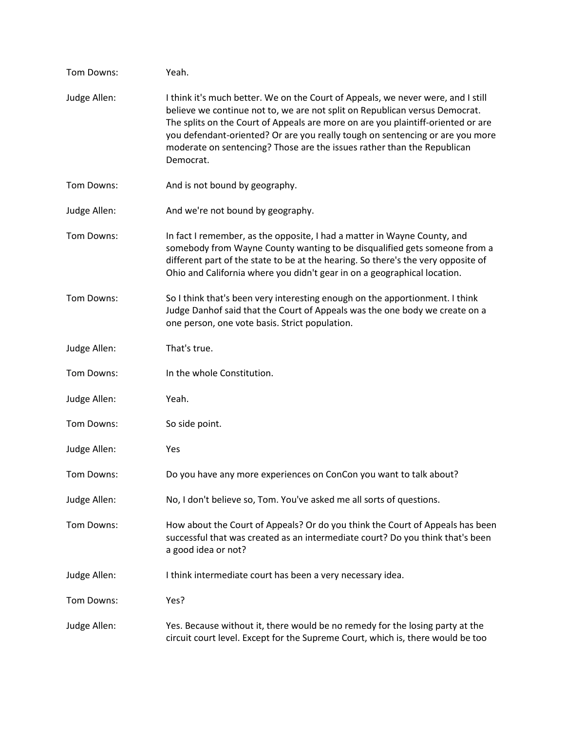| Tom Downs:   | Yeah.                                                                                                                                                                                                                                                                                                                                                                                                                        |
|--------------|------------------------------------------------------------------------------------------------------------------------------------------------------------------------------------------------------------------------------------------------------------------------------------------------------------------------------------------------------------------------------------------------------------------------------|
| Judge Allen: | I think it's much better. We on the Court of Appeals, we never were, and I still<br>believe we continue not to, we are not split on Republican versus Democrat.<br>The splits on the Court of Appeals are more on are you plaintiff-oriented or are<br>you defendant-oriented? Or are you really tough on sentencing or are you more<br>moderate on sentencing? Those are the issues rather than the Republican<br>Democrat. |
| Tom Downs:   | And is not bound by geography.                                                                                                                                                                                                                                                                                                                                                                                               |
| Judge Allen: | And we're not bound by geography.                                                                                                                                                                                                                                                                                                                                                                                            |
| Tom Downs:   | In fact I remember, as the opposite, I had a matter in Wayne County, and<br>somebody from Wayne County wanting to be disqualified gets someone from a<br>different part of the state to be at the hearing. So there's the very opposite of<br>Ohio and California where you didn't gear in on a geographical location.                                                                                                       |
| Tom Downs:   | So I think that's been very interesting enough on the apportionment. I think<br>Judge Danhof said that the Court of Appeals was the one body we create on a<br>one person, one vote basis. Strict population.                                                                                                                                                                                                                |
| Judge Allen: | That's true.                                                                                                                                                                                                                                                                                                                                                                                                                 |
| Tom Downs:   | In the whole Constitution.                                                                                                                                                                                                                                                                                                                                                                                                   |
| Judge Allen: | Yeah.                                                                                                                                                                                                                                                                                                                                                                                                                        |
| Tom Downs:   | So side point.                                                                                                                                                                                                                                                                                                                                                                                                               |
| Judge Allen: | Yes                                                                                                                                                                                                                                                                                                                                                                                                                          |
| Tom Downs:   | Do you have any more experiences on ConCon you want to talk about?                                                                                                                                                                                                                                                                                                                                                           |
| Judge Allen: | No, I don't believe so, Tom. You've asked me all sorts of questions.                                                                                                                                                                                                                                                                                                                                                         |
| Tom Downs:   | How about the Court of Appeals? Or do you think the Court of Appeals has been<br>successful that was created as an intermediate court? Do you think that's been<br>a good idea or not?                                                                                                                                                                                                                                       |
| Judge Allen: | I think intermediate court has been a very necessary idea.                                                                                                                                                                                                                                                                                                                                                                   |
| Tom Downs:   | Yes?                                                                                                                                                                                                                                                                                                                                                                                                                         |
| Judge Allen: | Yes. Because without it, there would be no remedy for the losing party at the<br>circuit court level. Except for the Supreme Court, which is, there would be too                                                                                                                                                                                                                                                             |